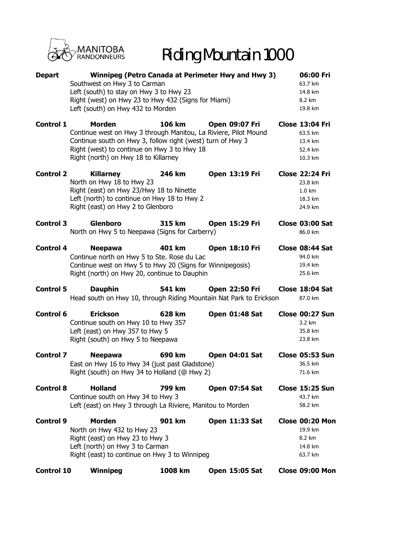

## Riding Mountain 1000

| <b>Depart</b>     | Winnipeg (Petro Canada at Perimeter Hwy and Hwy 3)<br>Southwest on Hwy 3 to Carman<br>Left (south) to stay on Hwy 3 to Hwy 23<br>Right (west) on Hwy 23 to Hwy 432 (Signs for Miami)<br>Left (south) on Hwy 432 to Morden             |         |                       | 06:00 Fri<br>63.7 km<br>14.8 km<br>8.2 km<br>19.8 km                        |  |
|-------------------|---------------------------------------------------------------------------------------------------------------------------------------------------------------------------------------------------------------------------------------|---------|-----------------------|-----------------------------------------------------------------------------|--|
| <b>Control 1</b>  | <b>Morden</b><br>Continue west on Hwy 3 through Manitou, La Riviere, Pilot Mound<br>Continue south on Hwy 3, follow right (west) turn of Hwy 3<br>Right (west) to continue on Hwy 3 to Hwy 18<br>Right (north) on Hwy 18 to Killarney | 106 km  | <b>Open 09:07 Fri</b> | <b>Close 13:04 Fri</b><br>63.5 km<br>13.4 km<br>52.4 km<br>10.3 km          |  |
| <b>Control 2</b>  | <b>Killarney</b><br>North on Hwy 18 to Hwy 23<br>Right (east) on Hwy 23/Hwy 18 to Ninette<br>Left (north) to continue on Hwy 18 to Hwy 2<br>Right (east) on Hwy 2 to Glenboro                                                         | 246 km  | <b>Open 13:19 Fri</b> | <b>Close 22:24 Fri</b><br>23.8 km<br>$1.0 \text{ km}$<br>18.3 km<br>24.9 km |  |
| <b>Control 3</b>  | <b>Glenboro</b><br>North on Hwy 5 to Neepawa (Signs for Carberry)                                                                                                                                                                     | 315 km  | <b>Open 15:29 Fri</b> | <b>Close 03:00 Sat</b><br>86.0 km                                           |  |
| <b>Control 4</b>  | <b>Neepawa</b><br>Continue north on Hwy 5 to Ste. Rose du Lac<br>Continue west on Hwy 5 to Hwy 20 (Signs for Winnipegosis)<br>Right (north) on Hwy 20, continue to Dauphin                                                            | 401 km  | <b>Open 18:10 Fri</b> | Close 08:44 Sat<br>94.0 km<br>19.4 km<br>25.6 km                            |  |
| <b>Control 5</b>  | <b>Dauphin</b><br>Head south on Hwy 10, through Riding Mountain Nat Park to Erickson                                                                                                                                                  | 541 km  | <b>Open 22:50 Fri</b> | Close 18:04 Sat<br>87.0 km                                                  |  |
| <b>Control 6</b>  | <b>Erickson</b><br>Continue south on Hwy 10 to Hwy 357<br>Left (east) on Hwy 357 to Hwy 5<br>Right (south) on Hwy 5 to Neepawa                                                                                                        | 628 km  | <b>Open 01:48 Sat</b> | <b>Close 00:27 Sun</b><br>3.2 km<br>35.8 km<br>23.8 km                      |  |
| <b>Control 7</b>  | <b>Neepawa</b><br>East on Hwy 16 to Hwy 34 (just past Gladstone)<br>Right (south) on Hwy 34 to Holland (@ Hwy 2)                                                                                                                      | 690 km  | <b>Open 04:01 Sat</b> | <b>Close 05:53 Sun</b><br>36.5 km<br>71.6 km                                |  |
| <b>Control 8</b>  | <b>Holland</b><br>Continue south on Hwy 34 to Hwy 3<br>Left (east) on Hwy 3 through La Riviere, Manitou to Morden                                                                                                                     | 799 km  | <b>Open 07:54 Sat</b> | <b>Close 15:25 Sun</b><br>43.7 km<br>58.2 km                                |  |
| <b>Control 9</b>  | <b>Morden</b><br>North on Hwy 432 to Hwy 23<br>Right (east) on Hwy 23 to Hwy 3<br>Left (north) on Hwy 3 to Carman<br>Right (east) to continue on Hwy 3 to Winnipeg                                                                    | 901 km  | Open 11:33 Sat        | Close 00:20 Mon<br>19.9 km<br>8.2 km<br>14.8 km<br>63.7 km                  |  |
| <b>Control 10</b> | Winnipeg                                                                                                                                                                                                                              | 1008 km | <b>Open 15:05 Sat</b> | Close 09:00 Mon                                                             |  |